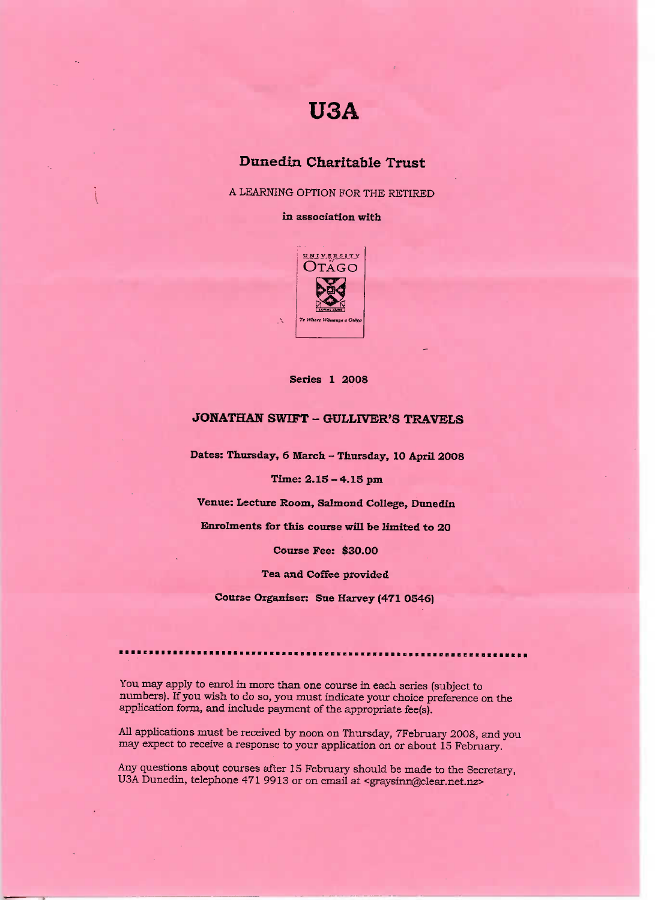# **USA**

## **Dunedin Charitable Trust**

A LEARNING OPTION FOR THE RETIRED

**in association with**



### **Series 1 2008**

## **JONATHAN SWIFT - GULLIVER'S TRAVELS**

**Dates: Thursday, 6 March - Thursday, 10 April 200S**

**Time: 2.15 - 4.15 pm**

**Venue: Lecture Room, Salmond College, Dunedin**

**Enrolments for this course will be limited to 20**

**Course Fee: \$30.00**

**Tea and Coffee provided**

**Course Organiser: Sue Harvey (471 0546)**

You may apply to enrol in more than one course in each series (subject to numbers). If you wish to do so, you must indicate your choice preference on the application form, and include payment of the appropriate fee(s).

All applications must be received by noon on Thursday, 7February 2008, and you may expect to receive a response to your application on or about 15 February.

Any questions about courses after 15 February should be made to the Secretary, USA Dunedin, telephone 471 9913 or on email at <graysinn@clear.net.nz>